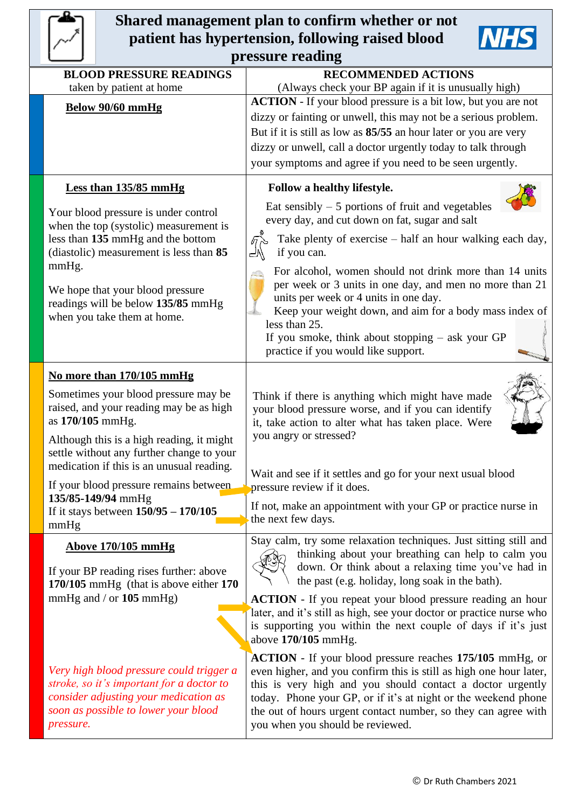## **Shared management plan to confirm whether or not patient has hypertension, following raised blood pressure reading**

| <b>BLOOD PRESSURE READINGS</b> |                                                                                                                                                                        | <b>RECOMMENDED ACTIONS</b>                                                                                                                                                                                                                                                                                                                                                  |  |  |
|--------------------------------|------------------------------------------------------------------------------------------------------------------------------------------------------------------------|-----------------------------------------------------------------------------------------------------------------------------------------------------------------------------------------------------------------------------------------------------------------------------------------------------------------------------------------------------------------------------|--|--|
| taken by patient at home       |                                                                                                                                                                        | (Always check your BP again if it is unusually high)                                                                                                                                                                                                                                                                                                                        |  |  |
|                                | Below 90/60 mmHg                                                                                                                                                       | <b>ACTION</b> - If your blood pressure is a bit low, but you are not<br>dizzy or fainting or unwell, this may not be a serious problem.                                                                                                                                                                                                                                     |  |  |
|                                |                                                                                                                                                                        | But if it is still as low as 85/55 an hour later or you are very                                                                                                                                                                                                                                                                                                            |  |  |
|                                |                                                                                                                                                                        | dizzy or unwell, call a doctor urgently today to talk through                                                                                                                                                                                                                                                                                                               |  |  |
|                                |                                                                                                                                                                        | your symptoms and agree if you need to be seen urgently.                                                                                                                                                                                                                                                                                                                    |  |  |
|                                | <b>Less than 135/85 mmHg</b>                                                                                                                                           | Follow a healthy lifestyle.<br>Eat sensibly $-5$ portions of fruit and vegetables                                                                                                                                                                                                                                                                                           |  |  |
|                                | Your blood pressure is under control<br>when the top (systolic) measurement is                                                                                         | every day, and cut down on fat, sugar and salt                                                                                                                                                                                                                                                                                                                              |  |  |
|                                | less than 135 mmHg and the bottom<br>(diastolic) measurement is less than 85                                                                                           | Take plenty of exercise – half an hour walking each day,<br>$\sqrt{a}$<br>if you can.                                                                                                                                                                                                                                                                                       |  |  |
| mmHg.                          | We hope that your blood pressure                                                                                                                                       | For alcohol, women should not drink more than 14 units<br>per week or 3 units in one day, and men no more than 21                                                                                                                                                                                                                                                           |  |  |
|                                | readings will be below 135/85 mmHg<br>when you take them at home.                                                                                                      | units per week or 4 units in one day.<br>Keep your weight down, and aim for a body mass index of<br>less than 25.                                                                                                                                                                                                                                                           |  |  |
|                                |                                                                                                                                                                        | If you smoke, think about stopping $-$ ask your GP<br>practice if you would like support.                                                                                                                                                                                                                                                                                   |  |  |
|                                | No more than 170/105 mmHg                                                                                                                                              |                                                                                                                                                                                                                                                                                                                                                                             |  |  |
|                                | Sometimes your blood pressure may be<br>raised, and your reading may be as high<br>as 170/105 mmHg.                                                                    | Think if there is anything which might have made<br>your blood pressure worse, and if you can identify<br>it, take action to alter what has taken place. Were                                                                                                                                                                                                               |  |  |
|                                | Although this is a high reading, it might<br>settle without any further change to your<br>medication if this is an unusual reading.                                    | you angry or stressed?                                                                                                                                                                                                                                                                                                                                                      |  |  |
|                                | If your blood pressure remains between<br>135/85-149/94 mmHg                                                                                                           | Wait and see if it settles and go for your next usual blood<br>pressure review if it does.                                                                                                                                                                                                                                                                                  |  |  |
| mmHg                           | If it stays between $150/95 - 170/105$                                                                                                                                 | If not, make an appointment with your GP or practice nurse in<br>the next few days.                                                                                                                                                                                                                                                                                         |  |  |
|                                | <b>Above 170/105 mmHg</b>                                                                                                                                              | Stay calm, try some relaxation techniques. Just sitting still and<br>thinking about your breathing can help to calm you                                                                                                                                                                                                                                                     |  |  |
|                                | If your BP reading rises further: above<br>170/105 mmHg (that is above either 170                                                                                      | down. Or think about a relaxing time you've had in<br>the past (e.g. holiday, long soak in the bath).                                                                                                                                                                                                                                                                       |  |  |
|                                | mmHg and $/$ or 105 mmHg)                                                                                                                                              | <b>ACTION</b> - If you repeat your blood pressure reading an hour                                                                                                                                                                                                                                                                                                           |  |  |
|                                |                                                                                                                                                                        | later, and it's still as high, see your doctor or practice nurse who<br>is supporting you within the next couple of days if it's just<br>above 170/105 mmHg.                                                                                                                                                                                                                |  |  |
| pressure.                      | Very high blood pressure could trigger a<br>stroke, so it's important for a doctor to<br>consider adjusting your medication as<br>soon as possible to lower your blood | <b>ACTION</b> - If your blood pressure reaches 175/105 mmHg, or<br>even higher, and you confirm this is still as high one hour later,<br>this is very high and you should contact a doctor urgently<br>today. Phone your GP, or if it's at night or the weekend phone<br>the out of hours urgent contact number, so they can agree with<br>you when you should be reviewed. |  |  |

**NHS**